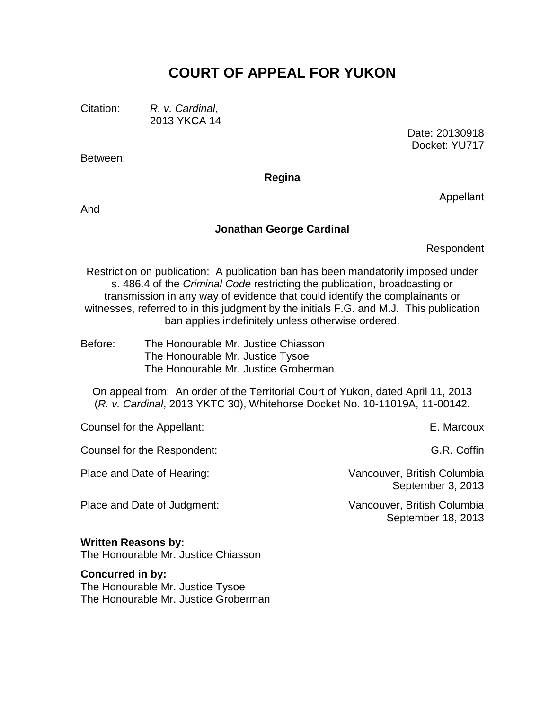# **COURT OF APPEAL FOR YUKON**

Citation: *R. v. Cardinal*, 2013 YKCA 14

> Date: 20130918 Docket: YU717

**Regina**

And

Between:

#### **Jonathan George Cardinal**

Respondent

Appellant

Restriction on publication: A publication ban has been mandatorily imposed under s. 486.4 of the *Criminal Code* restricting the publication, broadcasting or transmission in any way of evidence that could identify the complainants or witnesses, referred to in this judgment by the initials F.G. and M.J. This publication ban applies indefinitely unless otherwise ordered.

Before: The Honourable Mr. Justice Chiasson The Honourable Mr. Justice Tysoe The Honourable Mr. Justice Groberman

On appeal from: An order of the Territorial Court of Yukon, dated April 11, 2013 (*R. v. Cardinal*, 2013 YKTC 30), Whitehorse Docket No. 10-11019A, 11-00142.

Counsel for the Appellant: E. Marcoux

Counsel for the Respondent: G.R. Coffin

Place and Date of Hearing: Vancouver, British Columbia

Place and Date of Judgment: Vancouver, British Columbia

**Written Reasons by:**

The Honourable Mr. Justice Chiasson

#### **Concurred in by:**

The Honourable Mr. Justice Tysoe The Honourable Mr. Justice Groberman

September 3, 2013

September 18, 2013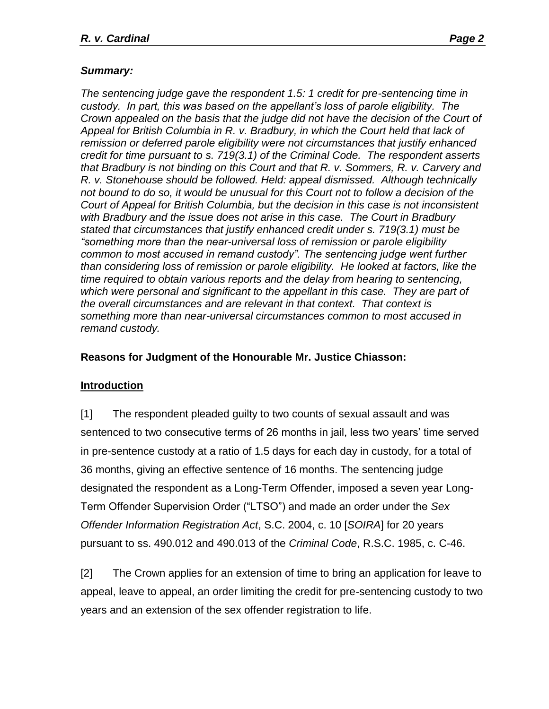## *Summary:*

*The sentencing judge gave the respondent 1.5: 1 credit for pre-sentencing time in custody. In part, this was based on the appellant's loss of parole eligibility. The Crown appealed on the basis that the judge did not have the decision of the Court of Appeal for British Columbia in R. v. Bradbury, in which the Court held that lack of remission or deferred parole eligibility were not circumstances that justify enhanced credit for time pursuant to s. 719(3.1) of the Criminal Code. The respondent asserts that Bradbury is not binding on this Court and that R. v. Sommers, R. v. Carvery and R. v. Stonehouse should be followed. Held: appeal dismissed. Although technically not bound to do so, it would be unusual for this Court not to follow a decision of the Court of Appeal for British Columbia, but the decision in this case is not inconsistent with Bradbury and the issue does not arise in this case. The Court in Bradbury stated that circumstances that justify enhanced credit under s. 719(3.1) must be "something more than the near-universal loss of remission or parole eligibility common to most accused in remand custody". The sentencing judge went further than considering loss of remission or parole eligibility. He looked at factors, like the time required to obtain various reports and the delay from hearing to sentencing, which were personal and significant to the appellant in this case. They are part of the overall circumstances and are relevant in that context. That context is something more than near-universal circumstances common to most accused in remand custody.*

#### **Reasons for Judgment of the Honourable Mr. Justice Chiasson:**

# **Introduction**

[1] The respondent pleaded guilty to two counts of sexual assault and was sentenced to two consecutive terms of 26 months in jail, less two years' time served in pre-sentence custody at a ratio of 1.5 days for each day in custody, for a total of 36 months, giving an effective sentence of 16 months. The sentencing judge designated the respondent as a Long-Term Offender, imposed a seven year Long-Term Offender Supervision Order ("LTSO") and made an order under the *Sex Offender Information Registration Act*, S.C. 2004, c. 10 [*SOIRA*] for 20 years pursuant to ss. 490.012 and 490.013 of the *Criminal Code*, R.S.C. 1985, c. C-46.

[2] The Crown applies for an extension of time to bring an application for leave to appeal, leave to appeal, an order limiting the credit for pre-sentencing custody to two years and an extension of the sex offender registration to life.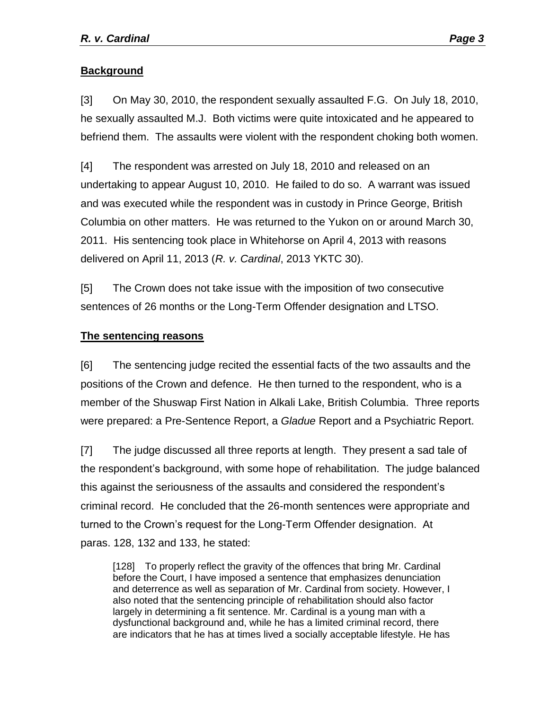## **Background**

[3] On May 30, 2010, the respondent sexually assaulted F.G. On July 18, 2010, he sexually assaulted M.J. Both victims were quite intoxicated and he appeared to befriend them. The assaults were violent with the respondent choking both women.

[4] The respondent was arrested on July 18, 2010 and released on an undertaking to appear August 10, 2010. He failed to do so. A warrant was issued and was executed while the respondent was in custody in Prince George, British Columbia on other matters. He was returned to the Yukon on or around March 30, 2011. His sentencing took place in Whitehorse on April 4, 2013 with reasons delivered on April 11, 2013 (*R. v. Cardinal*, 2013 YKTC 30).

[5] The Crown does not take issue with the imposition of two consecutive sentences of 26 months or the Long-Term Offender designation and LTSO.

#### **The sentencing reasons**

[6] The sentencing judge recited the essential facts of the two assaults and the positions of the Crown and defence. He then turned to the respondent, who is a member of the Shuswap First Nation in Alkali Lake, British Columbia. Three reports were prepared: a Pre-Sentence Report, a *Gladue* Report and a Psychiatric Report.

[7] The judge discussed all three reports at length. They present a sad tale of the respondent's background, with some hope of rehabilitation. The judge balanced this against the seriousness of the assaults and considered the respondent's criminal record. He concluded that the 26-month sentences were appropriate and turned to the Crown's request for the Long-Term Offender designation. At paras. 128, 132 and 133, he stated:

[128] To properly reflect the gravity of the offences that bring Mr. Cardinal before the Court, I have imposed a sentence that emphasizes denunciation and deterrence as well as separation of Mr. Cardinal from society. However, I also noted that the sentencing principle of rehabilitation should also factor largely in determining a fit sentence. Mr. Cardinal is a young man with a dysfunctional background and, while he has a limited criminal record, there are indicators that he has at times lived a socially acceptable lifestyle. He has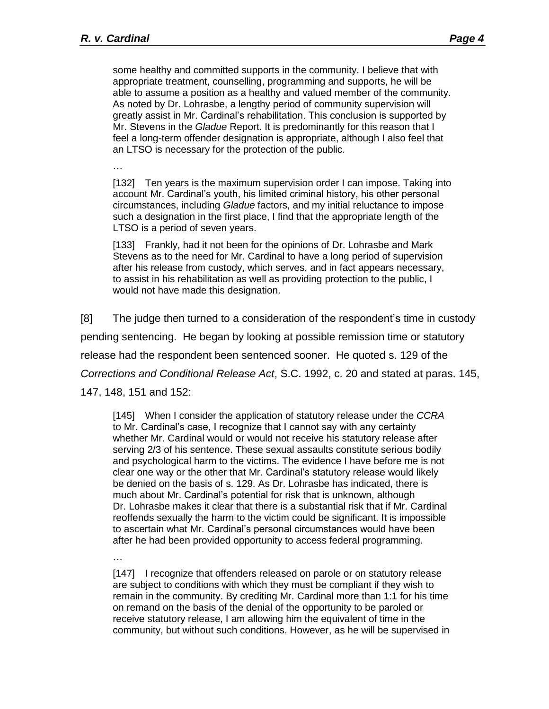some healthy and committed supports in the community. I believe that with appropriate treatment, counselling, programming and supports, he will be able to assume a position as a healthy and valued member of the community. As noted by Dr. Lohrasbe, a lengthy period of community supervision will greatly assist in Mr. Cardinal's rehabilitation. This conclusion is supported by Mr. Stevens in the *Gladue* Report. It is predominantly for this reason that I feel a long-term offender designation is appropriate, although I also feel that an LTSO is necessary for the protection of the public.

…

[132] Ten years is the maximum supervision order I can impose. Taking into account Mr. Cardinal's youth, his limited criminal history, his other personal circumstances, including *Gladue* factors, and my initial reluctance to impose such a designation in the first place, I find that the appropriate length of the LTSO is a period of seven years.

[133] Frankly, had it not been for the opinions of Dr. Lohrasbe and Mark Stevens as to the need for Mr. Cardinal to have a long period of supervision after his release from custody, which serves, and in fact appears necessary, to assist in his rehabilitation as well as providing protection to the public, I would not have made this designation.

[8] The judge then turned to a consideration of the respondent's time in custody pending sentencing. He began by looking at possible remission time or statutory release had the respondent been sentenced sooner. He quoted s. 129 of the *Corrections and Conditional Release Act*, S.C. 1992, c. 20 and stated at paras. 145, 147, 148, 151 and 152:

[145] When I consider the application of statutory release under the *CCRA*  to Mr. Cardinal's case, I recognize that I cannot say with any certainty whether Mr. Cardinal would or would not receive his statutory release after serving 2/3 of his sentence. These sexual assaults constitute serious bodily and psychological harm to the victims. The evidence I have before me is not clear one way or the other that Mr. Cardinal's statutory release would likely be denied on the basis of s. 129. As Dr. Lohrasbe has indicated, there is much about Mr. Cardinal's potential for risk that is unknown, although Dr. Lohrasbe makes it clear that there is a substantial risk that if Mr. Cardinal reoffends sexually the harm to the victim could be significant. It is impossible to ascertain what Mr. Cardinal's personal circumstances would have been after he had been provided opportunity to access federal programming.

…

[147] I recognize that offenders released on parole or on statutory release are subject to conditions with which they must be compliant if they wish to remain in the community. By crediting Mr. Cardinal more than 1:1 for his time on remand on the basis of the denial of the opportunity to be paroled or receive statutory release, I am allowing him the equivalent of time in the community, but without such conditions. However, as he will be supervised in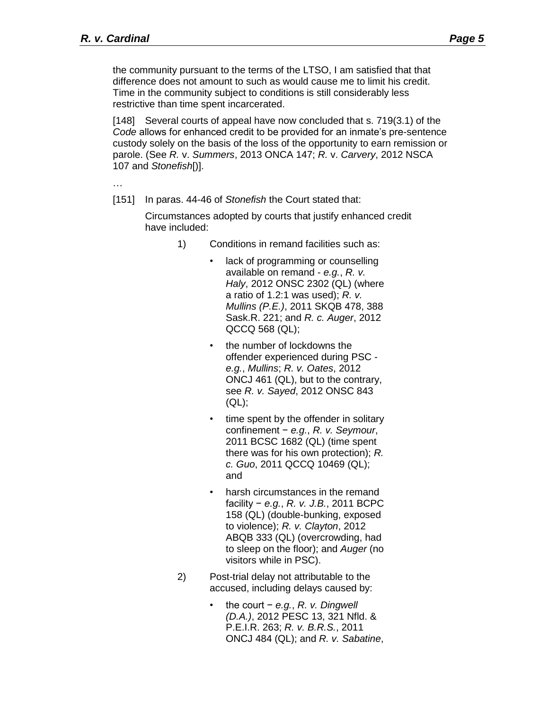[148] Several courts of appeal have now concluded that s. 719(3.1) of the *Code* allows for enhanced credit to be provided for an inmate's pre-sentence custody solely on the basis of the loss of the opportunity to earn remission or parole. (See *R.* v. *Summers*, 2013 ONCA 147; *R.* v. *Carvery*, 2012 NSCA 107 and *Stonefish*[)].

…

[151] In paras. 44-46 of *Stonefish* the Court stated that:

Circumstances adopted by courts that justify enhanced credit have included:

- 1) Conditions in remand facilities such as:
	- lack of programming or counselling available on remand - *e.g.*, *R. v. Haly*, 2012 ONSC 2302 (QL) (where a ratio of 1.2:1 was used); *R. v. Mullins (P.E.)*, 2011 SKQB 478, 388 Sask.R. 221; and *R. c. Auger*, 2012 QCCQ 568 (QL);
	- the number of lockdowns the offender experienced during PSC *e.g.*, *Mullins*; *R. v. Oates*, 2012 ONCJ 461 (QL), but to the contrary, see *R. v. Sayed*, 2012 ONSC 843 (QL);
	- time spent by the offender in solitary confinement − *e.g.*, *R. v. Seymour*, 2011 BCSC 1682 (QL) (time spent there was for his own protection); *R. c. Guo*, 2011 QCCQ 10469 (QL); and
	- harsh circumstances in the remand facility − *e.g.*, *R. v. J.B.*, 2011 BCPC 158 (QL) (double-bunking, exposed to violence); *R. v. Clayton*, 2012 ABQB 333 (QL) (overcrowding, had to sleep on the floor); and *Auger* (no visitors while in PSC).
- 2) Post-trial delay not attributable to the accused, including delays caused by:
	- the court − *e.g.*, *R. v. Dingwell (D.A.)*, 2012 PESC 13, 321 Nfld. & P.E.I.R. 263; *R. v. B.R.S.*, 2011 ONCJ 484 (QL); and *R. v. Sabatine*,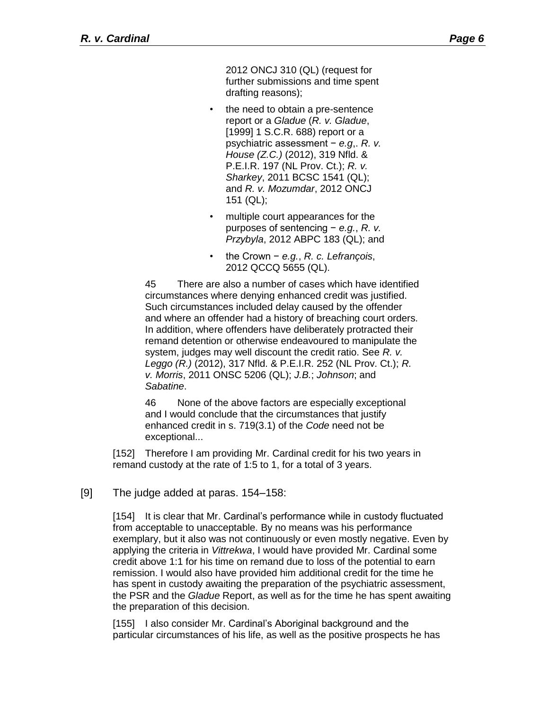2012 ONCJ 310 (QL) (request for further submissions and time spent drafting reasons);

- the need to obtain a pre-sentence report or a *Gladue* (*R. v. Gladue*, [1999] 1 S.C.R. 688) report or a psychiatric assessment − *e.g*,. *R. v. House (Z.C.)* (2012), 319 Nfld. & P.E.I.R. 197 (NL Prov. Ct.); *R. v. Sharkey*, 2011 BCSC 1541 (QL); and *R. v. Mozumdar*, 2012 ONCJ 151 (QL);
- multiple court appearances for the purposes of sentencing − *e.g.*, *R. v. Przybyla*, 2012 ABPC 183 (QL); and
- the Crown − *e.g.*, *R. c. Lefrançois*, 2012 QCCQ 5655 (QL).

45 There are also a number of cases which have identified circumstances where denying enhanced credit was justified. Such circumstances included delay caused by the offender and where an offender had a history of breaching court orders. In addition, where offenders have deliberately protracted their remand detention or otherwise endeavoured to manipulate the system, judges may well discount the credit ratio. See *R. v. Leggo (R.)* (2012), 317 Nfld. & P.E.I.R. 252 (NL Prov. Ct.); *R. v. Morris*, 2011 ONSC 5206 (QL); *J.B.*; *Johnson*; and *Sabatine*.

46 None of the above factors are especially exceptional and I would conclude that the circumstances that justify enhanced credit in s. 719(3.1) of the *Code* need not be exceptional...

[152] Therefore I am providing Mr. Cardinal credit for his two years in remand custody at the rate of 1:5 to 1, for a total of 3 years.

[9] The judge added at paras. 154–158:

[154] It is clear that Mr. Cardinal's performance while in custody fluctuated from acceptable to unacceptable. By no means was his performance exemplary, but it also was not continuously or even mostly negative. Even by applying the criteria in *Vittrekwa*, I would have provided Mr. Cardinal some credit above 1:1 for his time on remand due to loss of the potential to earn remission. I would also have provided him additional credit for the time he has spent in custody awaiting the preparation of the psychiatric assessment, the PSR and the *Gladue* Report, as well as for the time he has spent awaiting the preparation of this decision.

[155] I also consider Mr. Cardinal's Aboriginal background and the particular circumstances of his life, as well as the positive prospects he has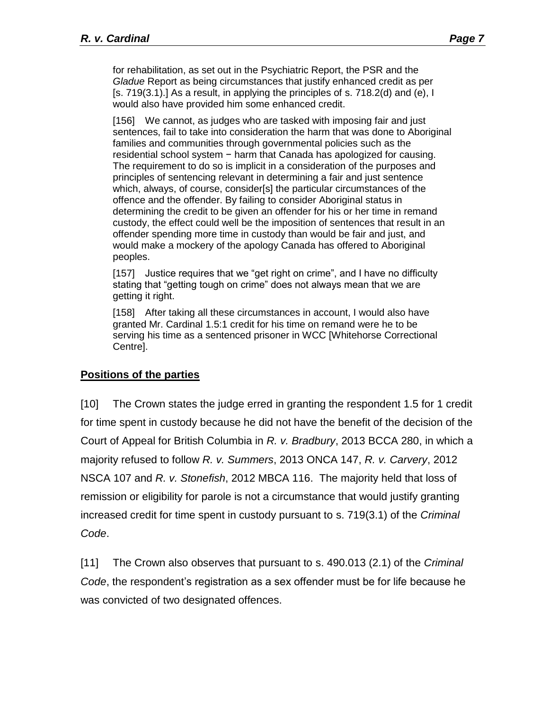for rehabilitation, as set out in the Psychiatric Report, the PSR and the *Gladue* Report as being circumstances that justify enhanced credit as per  $[s, 719(3.1).]$  As a result, in applying the principles of s. 718.2(d) and (e), I would also have provided him some enhanced credit.

[156] We cannot, as judges who are tasked with imposing fair and just sentences, fail to take into consideration the harm that was done to Aboriginal families and communities through governmental policies such as the residential school system − harm that Canada has apologized for causing. The requirement to do so is implicit in a consideration of the purposes and principles of sentencing relevant in determining a fair and just sentence which, always, of course, consider[s] the particular circumstances of the offence and the offender. By failing to consider Aboriginal status in determining the credit to be given an offender for his or her time in remand custody, the effect could well be the imposition of sentences that result in an offender spending more time in custody than would be fair and just, and would make a mockery of the apology Canada has offered to Aboriginal peoples.

[157] Justice requires that we "get right on crime", and I have no difficulty stating that "getting tough on crime" does not always mean that we are getting it right.

[158] After taking all these circumstances in account, I would also have granted Mr. Cardinal 1.5:1 credit for his time on remand were he to be serving his time as a sentenced prisoner in WCC [Whitehorse Correctional Centre].

#### **Positions of the parties**

[10] The Crown states the judge erred in granting the respondent 1.5 for 1 credit for time spent in custody because he did not have the benefit of the decision of the Court of Appeal for British Columbia in *R. v. Bradbury*, 2013 BCCA 280, in which a majority refused to follow *R. v. Summers*, 2013 ONCA 147, *R. v. Carvery*, 2012 NSCA 107 and *R. v. Stonefish*, 2012 MBCA 116. The majority held that loss of remission or eligibility for parole is not a circumstance that would justify granting increased credit for time spent in custody pursuant to s. 719(3.1) of the *Criminal Code*.

[11] The Crown also observes that pursuant to s. 490.013 (2.1) of the *Criminal Code*, the respondent's registration as a sex offender must be for life because he was convicted of two designated offences.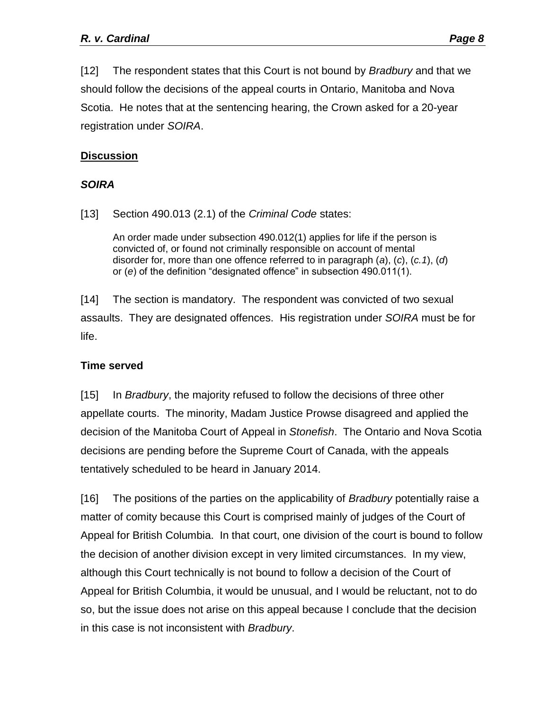[12] The respondent states that this Court is not bound by *Bradbury* and that we should follow the decisions of the appeal courts in Ontario, Manitoba and Nova Scotia. He notes that at the sentencing hearing, the Crown asked for a 20-year registration under *SOIRA*.

# **Discussion**

## *SOIRA*

[13] Section 490.013 (2.1) of the *Criminal Code* states:

An order made under subsection 490.012(1) applies for life if the person is convicted of, or found not criminally responsible on account of mental disorder for, more than one offence referred to in paragraph (*a*), (*c*), (*c.1*), (*d*) or (*e*) of the definition "designated offence" in subsection 490.011(1).

[14] The section is mandatory. The respondent was convicted of two sexual assaults. They are designated offences. His registration under *SOIRA* must be for life.

#### **Time served**

[15] In *Bradbury*, the majority refused to follow the decisions of three other appellate courts. The minority, Madam Justice Prowse disagreed and applied the decision of the Manitoba Court of Appeal in *Stonefish*. The Ontario and Nova Scotia decisions are pending before the Supreme Court of Canada, with the appeals tentatively scheduled to be heard in January 2014.

[16] The positions of the parties on the applicability of *Bradbury* potentially raise a matter of comity because this Court is comprised mainly of judges of the Court of Appeal for British Columbia. In that court, one division of the court is bound to follow the decision of another division except in very limited circumstances. In my view, although this Court technically is not bound to follow a decision of the Court of Appeal for British Columbia, it would be unusual, and I would be reluctant, not to do so, but the issue does not arise on this appeal because I conclude that the decision in this case is not inconsistent with *Bradbury*.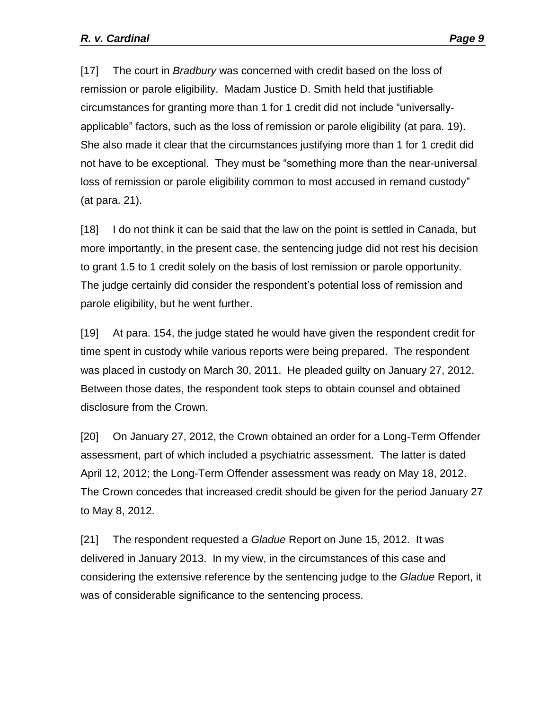[17] The court in *Bradbury* was concerned with credit based on the loss of remission or parole eligibility. Madam Justice D. Smith held that justifiable circumstances for granting more than 1 for 1 credit did not include "universallyapplicable" factors, such as the loss of remission or parole eligibility (at para. 19). She also made it clear that the circumstances justifying more than 1 for 1 credit did not have to be exceptional. They must be "something more than the near-universal loss of remission or parole eligibility common to most accused in remand custody" (at para. 21).

[18] I do not think it can be said that the law on the point is settled in Canada, but more importantly, in the present case, the sentencing judge did not rest his decision to grant 1.5 to 1 credit solely on the basis of lost remission or parole opportunity. The judge certainly did consider the respondent's potential loss of remission and parole eligibility, but he went further.

[19] At para. 154, the judge stated he would have given the respondent credit for time spent in custody while various reports were being prepared. The respondent was placed in custody on March 30, 2011. He pleaded guilty on January 27, 2012. Between those dates, the respondent took steps to obtain counsel and obtained disclosure from the Crown.

[20] On January 27, 2012, the Crown obtained an order for a Long-Term Offender assessment, part of which included a psychiatric assessment. The latter is dated April 12, 2012; the Long-Term Offender assessment was ready on May 18, 2012. The Crown concedes that increased credit should be given for the period January 27 to May 8, 2012.

[21] The respondent requested a *Gladue* Report on June 15, 2012. It was delivered in January 2013. In my view, in the circumstances of this case and considering the extensive reference by the sentencing judge to the *Gladue* Report, it was of considerable significance to the sentencing process.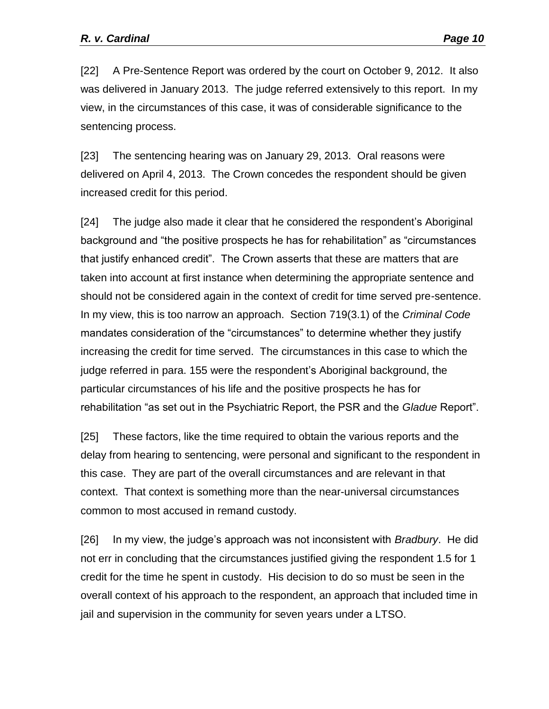[22] A Pre-Sentence Report was ordered by the court on October 9, 2012. It also was delivered in January 2013. The judge referred extensively to this report. In my view, in the circumstances of this case, it was of considerable significance to the sentencing process.

[23] The sentencing hearing was on January 29, 2013. Oral reasons were delivered on April 4, 2013. The Crown concedes the respondent should be given increased credit for this period.

[24] The judge also made it clear that he considered the respondent's Aboriginal background and "the positive prospects he has for rehabilitation" as "circumstances that justify enhanced credit". The Crown asserts that these are matters that are taken into account at first instance when determining the appropriate sentence and should not be considered again in the context of credit for time served pre-sentence. In my view, this is too narrow an approach. Section 719(3.1) of the *Criminal Code*  mandates consideration of the "circumstances" to determine whether they justify increasing the credit for time served. The circumstances in this case to which the judge referred in para. 155 were the respondent's Aboriginal background, the particular circumstances of his life and the positive prospects he has for rehabilitation "as set out in the Psychiatric Report, the PSR and the *Gladue* Report".

[25] These factors, like the time required to obtain the various reports and the delay from hearing to sentencing, were personal and significant to the respondent in this case. They are part of the overall circumstances and are relevant in that context. That context is something more than the near-universal circumstances common to most accused in remand custody.

[26] In my view, the judge's approach was not inconsistent with *Bradbury*. He did not err in concluding that the circumstances justified giving the respondent 1.5 for 1 credit for the time he spent in custody. His decision to do so must be seen in the overall context of his approach to the respondent, an approach that included time in jail and supervision in the community for seven years under a LTSO.